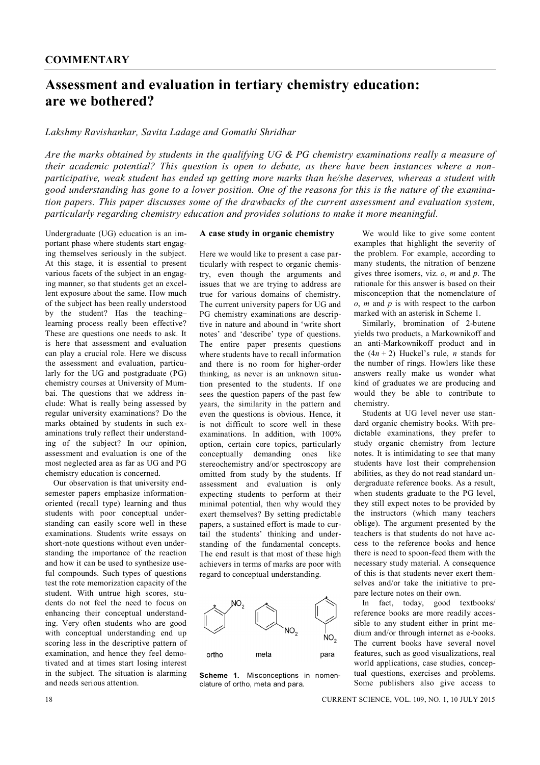## **Assessment and evaluation in tertiary chemistry education: are we bothered?**

## *Lakshmy Ravishankar, Savita Ladage and Gomathi Shridhar*

*Are the marks obtained by students in the qualifying UG & PG chemistry examinations really a measure of their academic potential? This question is open to debate, as there have been instances where a nonparticipative, weak student has ended up getting more marks than he/she deserves, whereas a student with good understanding has gone to a lower position. One of the reasons for this is the nature of the examination papers. This paper discusses some of the drawbacks of the current assessment and evaluation system, particularly regarding chemistry education and provides solutions to make it more meaningful.*

Undergraduate (UG) education is an important phase where students start engaging themselves seriously in the subject. At this stage, it is essential to present various facets of the subject in an engaging manner, so that students get an excellent exposure about the same. How much of the subject has been really understood by the student? Has the teaching– learning process really been effective? These are questions one needs to ask. It is here that assessment and evaluation can play a crucial role. Here we discuss the assessment and evaluation, particularly for the UG and postgraduate (PG) chemistry courses at University of Mumbai. The questions that we address include: What is really being assessed by regular university examinations? Do the marks obtained by students in such examinations truly reflect their understanding of the subject? In our opinion, assessment and evaluation is one of the most neglected area as far as UG and PG chemistry education is concerned.

Our observation is that university endsemester papers emphasize informationoriented (recall type) learning and thus students with poor conceptual understanding can easily score well in these examinations. Students write essays on short-note questions without even understanding the importance of the reaction and how it can be used to synthesize useful compounds. Such types of questions test the rote memorization capacity of the student. With untrue high scores, students do not feel the need to focus on enhancing their conceptual understanding. Very often students who are good with conceptual understanding end up scoring less in the descriptive pattern of examination, and hence they feel demotivated and at times start losing interest in the subject. The situation is alarming and needs serious attention.

## **A case study in organic chemistry**

Here we would like to present a case particularly with respect to organic chemistry, even though the arguments and issues that we are trying to address are true for various domains of chemistry. The current university papers for UG and PG chemistry examinations are descriptive in nature and abound in 'write short notes' and 'describe' type of questions. The entire paper presents questions where students have to recall information and there is no room for higher-order thinking, as never is an unknown situation presented to the students. If one sees the question papers of the past few years, the similarity in the pattern and even the questions is obvious. Hence, it is not difficult to score well in these examinations. In addition with 100% option, certain core topics, particularly conceptually demanding ones like stereochemistry and/or spectroscopy are omitted from study by the students. If assessment and evaluation is only expecting students to perform at their minimal potential, then why would they exert themselves? By setting predictable papers, a sustained effort is made to curtail the students' thinking and understanding of the fundamental concepts. The end result is that most of these high achievers in terms of marks are poor with regard to conceptual understanding.



**Scheme 1.** Misconceptions in nomenclature of ortho, meta and para.

We would like to give some content examples that highlight the severity of the problem. For example, according to many students, the nitration of benzene gives three isomers, viz. *o*, *m* and *p*. The rationale for this answer is based on their misconception that the nomenclature of *o*, *m* and *p* is with respect to the carbon marked with an asterisk in Scheme 1.

Similarly, bromination of 2-butene yields two products, a Markownikoff and an anti-Markownikoff product and in the  $(4n + 2)$  Huckel's rule, *n* stands for the number of rings. Howlers like these answers really make us wonder what kind of graduates we are producing and would they be able to contribute to chemistry.

Students at UG level never use standard organic chemistry books. With predictable examinations, they prefer to study organic chemistry from lecture notes. It is intimidating to see that many students have lost their comprehension abilities, as they do not read standard undergraduate reference books. As a result, when students graduate to the PG level, they still expect notes to be provided by the instructors (which many teachers oblige). The argument presented by the teachers is that students do not have access to the reference books and hence there is need to spoon-feed them with the necessary study material. A consequence of this is that students never exert themselves and/or take the initiative to prepare lecture notes on their own.

In fact, today, good textbooks/ reference books are more readily accessible to any student either in print medium and/or through internet as e-books. The current books have several novel features, such as good visualizations, real world applications, case studies, conceptual questions, exercises and problems. Some publishers also give access to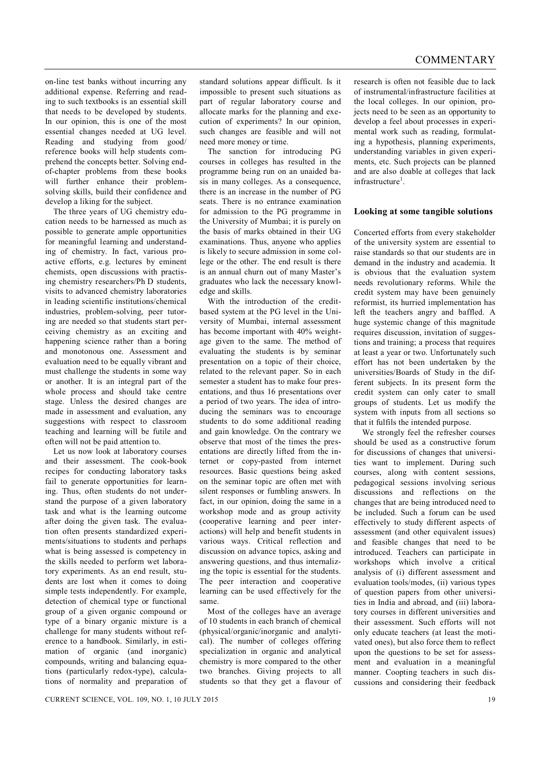on-line test banks without incurring any additional expense. Referring and reading to such textbooks is an essential skill that needs to be developed by students. In our opinion, this is one of the most essential changes needed at UG level. Reading and studying from good/ reference books will help students comprehend the concepts better. Solving endof-chapter problems from these books will further enhance their problemsolving skills, build their confidence and develop a liking for the subject.

The three years of UG chemistry education needs to be harnessed as much as possible to generate ample opportunities for meaningful learning and understanding of chemistry. In fact, various proactive efforts, e.g. lectures by eminent chemists, open discussions with practising chemistry researchers/Ph D students, visits to advanced chemistry laboratories in leading scientific institutions/chemical industries, problem-solving, peer tutoring are needed so that students start perceiving chemistry as an exciting and happening science rather than a boring and monotonous one. Assessment and evaluation need to be equally vibrant and must challenge the students in some way or another. It is an integral part of the whole process and should take centre stage. Unless the desired changes are made in assessment and evaluation, any suggestions with respect to classroom teaching and learning will be futile and often will not be paid attention to.

Let us now look at laboratory courses and their assessment. The cook-book recipes for conducting laboratory tasks fail to generate opportunities for learning. Thus, often students do not understand the purpose of a given laboratory task and what is the learning outcome after doing the given task. The evaluation often presents standardized experiments/situations to students and perhaps what is being assessed is competency in the skills needed to perform wet laboratory experiments. As an end result, students are lost when it comes to doing simple tests independently. For example, detection of chemical type or functional group of a given organic compound or type of a binary organic mixture is a challenge for many students without reference to a handbook. Similarly, in estimation of organic (and inorganic) compounds, writing and balancing equations (particularly redox-type), calculations of normality and preparation of

standard solutions appear difficult. Is it impossible to present such situations as part of regular laboratory course and allocate marks for the planning and execution of experiments? In our opinion, such changes are feasible and will not need more money or time.

The sanction for introducing PG courses in colleges has resulted in the programme being run on an unaided basis in many colleges. As a consequence, there is an increase in the number of PG seats. There is no entrance examination for admission to the PG programme in the University of Mumbai; it is purely on the basis of marks obtained in their UG examinations. Thus, anyone who applies is likely to secure admission in some college or the other. The end result is there is an annual churn out of many Master's graduates who lack the necessary knowledge and skills.

With the introduction of the creditbased system at the PG level in the University of Mumbai, internal assessment has become important with 40% weightage given to the same. The method of evaluating the students is by seminar presentation on a topic of their choice, related to the relevant paper. So in each semester a student has to make four presentations, and thus 16 presentations over a period of two years. The idea of introducing the seminars was to encourage students to do some additional reading and gain knowledge. On the contrary we observe that most of the times the presentations are directly lifted from the internet or copy-pasted from internet resources. Basic questions being asked on the seminar topic are often met with silent responses or fumbling answers. In fact, in our opinion, doing the same in a workshop mode and as group activity (cooperative learning and peer interactions) will help and benefit students in various ways. Critical reflection and discussion on advance topics, asking and answering questions, and thus internalizing the topic is essential for the students. The peer interaction and cooperative learning can be used effectively for the same.

Most of the colleges have an average of 10 students in each branch of chemical (physical/organic/inorganic and analytical). The number of colleges offering specialization in organic and analytical chemistry is more compared to the other two branches. Giving projects to all students so that they get a flavour of research is often not feasible due to lack of instrumental/infrastructure facilities at the local colleges. In our opinion, projects need to be seen as an opportunity to develop a feel about processes in experimental work such as reading, formulating a hypothesis, planning experiments, understanding variables in given experiments, etc. Such projects can be planned and are also doable at colleges that lack infrastructure<sup>1</sup>.

## **Looking at some tangible solutions**

Concerted efforts from every stakeholder of the university system are essential to raise standards so that our students are in demand in the industry and academia. It is obvious that the evaluation system needs revolutionary reforms. While the credit system may have been genuinely reformist, its hurried implementation has left the teachers angry and baffled. A huge systemic change of this magnitude requires discussion, invitation of suggestions and training; a process that requires at least a year or two. Unfortunately such effort has not been undertaken by the universities/Boards of Study in the different subjects. In its present form the credit system can only cater to small groups of students. Let us modify the system with inputs from all sections so that it fulfils the intended purpose.

We strongly feel the refresher courses should be used as a constructive forum for discussions of changes that universities want to implement. During such courses, along with content sessions, pedagogical sessions involving serious discussions and reflections on the changes that are being introduced need to be included. Such a forum can be used effectively to study different aspects of assessment (and other equivalent issues) and feasible changes that need to be introduced. Teachers can participate in workshops which involve a critical analysis of (i) different assessment and evaluation tools/modes, (ii) various types of question papers from other universities in India and abroad, and (iii) laboratory courses in different universities and their assessment. Such efforts will not only educate teachers (at least the motivated ones), but also force them to reflect upon the questions to be set for assessment and evaluation in a meaningful manner. Coopting teachers in such discussions and considering their feedback